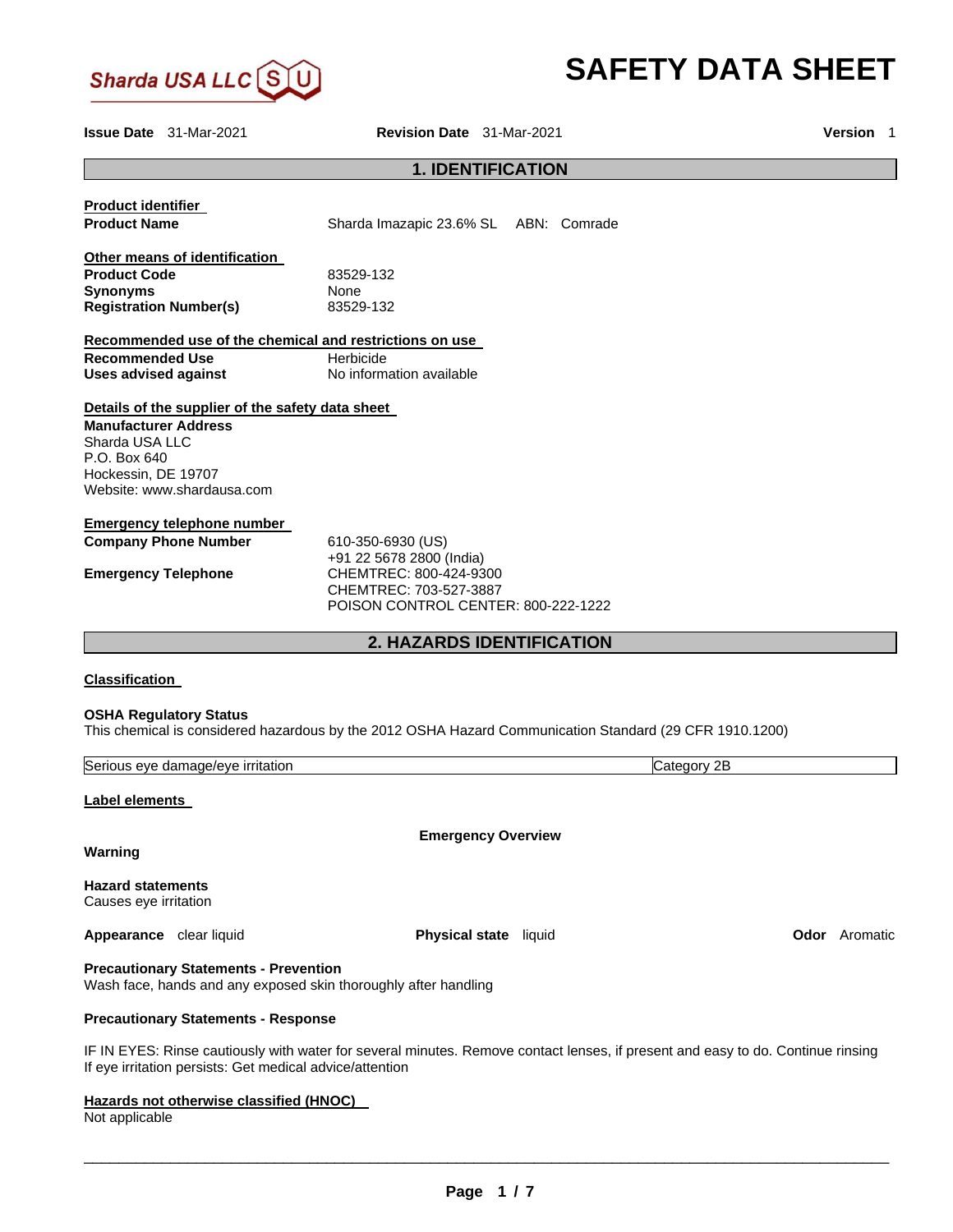

# **SAFETY DATA SHEET**

**Issue Date** 31-Mar-2021 **Revision Date** 31-Mar-2021 **Version** 1

# **1. IDENTIFICATION**

| <b>Product identifier</b><br><b>Product Name</b>                                                                                                                                                                                                                         | Sharda Imazapic 23.6% SL ABN: Comrade                                                                                                    |  |             |
|--------------------------------------------------------------------------------------------------------------------------------------------------------------------------------------------------------------------------------------------------------------------------|------------------------------------------------------------------------------------------------------------------------------------------|--|-------------|
| Other means of identification<br><b>Product Code</b><br><b>Synonyms</b><br><b>Registration Number(s)</b>                                                                                                                                                                 | 83529-132<br>None<br>83529-132                                                                                                           |  |             |
| Recommended use of the chemical and restrictions on use                                                                                                                                                                                                                  |                                                                                                                                          |  |             |
| <b>Recommended Use</b><br><b>Uses advised against</b>                                                                                                                                                                                                                    | Herbicide<br>No information available                                                                                                    |  |             |
| Details of the supplier of the safety data sheet<br><b>Manufacturer Address</b><br>Sharda USA LLC<br>P.O. Box 640<br>Hockessin, DE 19707<br>Website: www.shardausa.com<br><b>Emergency telephone number</b><br><b>Company Phone Number</b><br><b>Emergency Telephone</b> | 610-350-6930 (US)<br>+91 22 5678 2800 (India)<br>CHEMTREC: 800-424-9300<br>CHEMTREC: 703-527-3887<br>POISON CONTROL CENTER: 800-222-1222 |  |             |
|                                                                                                                                                                                                                                                                          | <b>2. HAZARDS IDENTIFICATION</b>                                                                                                         |  |             |
| <b>Classification</b>                                                                                                                                                                                                                                                    |                                                                                                                                          |  |             |
| <b>OSHA Regulatory Status</b><br>This chemical is considered hazardous by the 2012 OSHA Hazard Communication Standard (29 CFR 1910.1200)                                                                                                                                 |                                                                                                                                          |  |             |
| Serious eye damage/eye irritation                                                                                                                                                                                                                                        |                                                                                                                                          |  | Category 2B |
| Label elements                                                                                                                                                                                                                                                           |                                                                                                                                          |  |             |
| Warning                                                                                                                                                                                                                                                                  | <b>Emergency Overview</b>                                                                                                                |  |             |
| <b>Hazard statements</b><br>Causes eye irritation                                                                                                                                                                                                                        |                                                                                                                                          |  |             |
| Appearance clear liquid                                                                                                                                                                                                                                                  | Physical state liquid                                                                                                                    |  |             |
| <b>Precautionary Statements - Prevention</b><br>Wash face, hands and any exposed skin thoroughly after handling                                                                                                                                                          |                                                                                                                                          |  |             |
| <b>Precautionary Statements - Response</b>                                                                                                                                                                                                                               |                                                                                                                                          |  |             |

IF IN EYES: Rinse cautiously with water for several minutes. Remove contact lenses, if present and easy to do. Continue rinsing If eye irritation persists: Get medical advice/attention

**Hazards not otherwise classified (HNOC)** 

Not applicable

\_\_\_\_\_\_\_\_\_\_\_\_\_\_\_\_\_\_\_\_\_\_\_\_\_\_\_\_\_\_\_\_\_\_\_\_\_\_\_\_\_\_\_\_\_\_\_\_\_\_\_\_\_\_\_\_\_\_\_\_\_\_\_\_\_\_\_\_\_\_\_\_\_\_\_\_\_\_\_\_\_\_\_\_\_\_\_\_\_\_\_\_\_

**A**condre **Aromatic**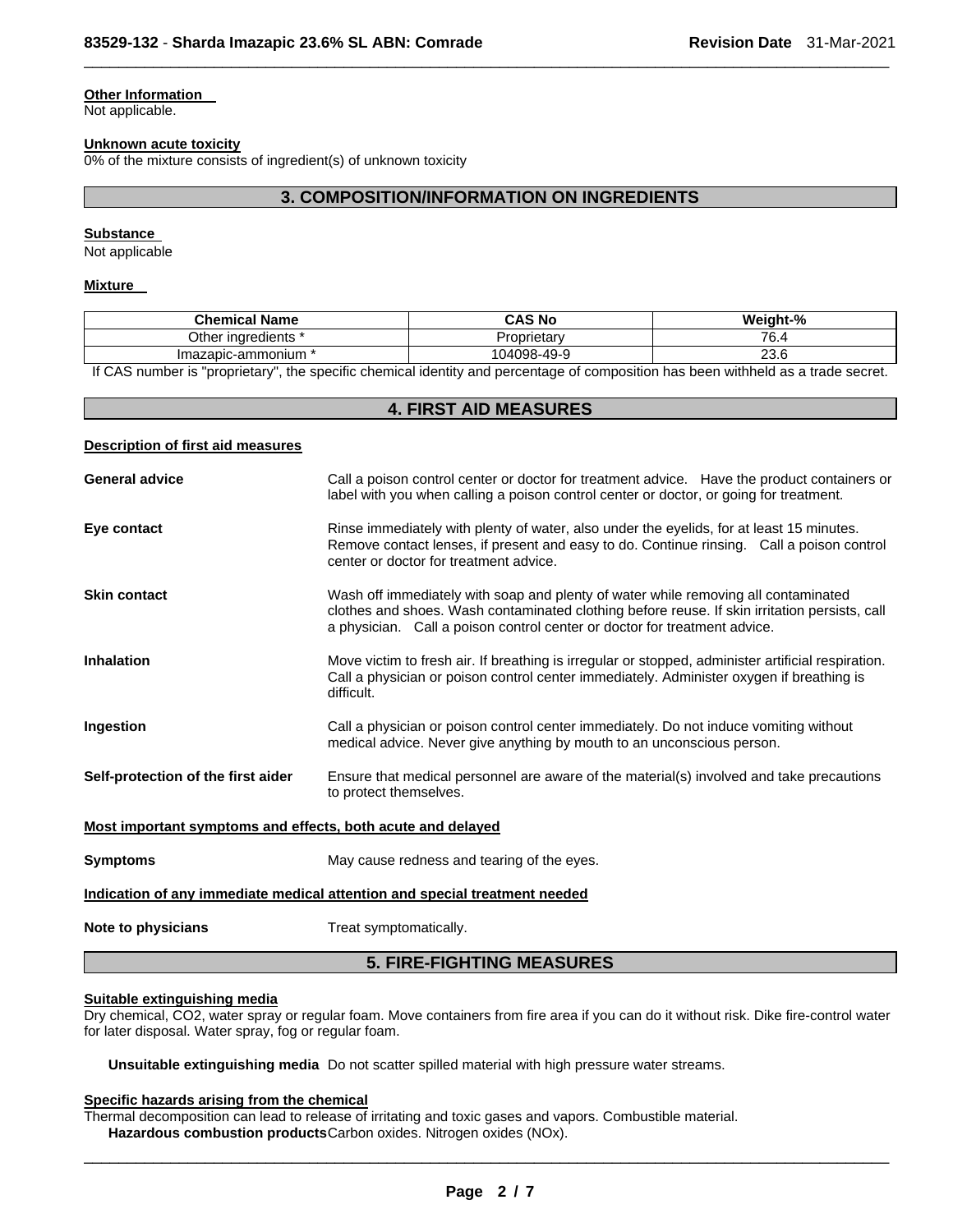## **Other Information**

Not applicable.

#### **Unknown acute toxicity**

0% of the mixture consists of ingredient(s) of unknown toxicity

# **3. COMPOSITION/INFORMATION ON INGREDIENTS**

 $\Box$ 

#### **Substance**

Not applicable

#### **Mixture**

| <b>Chemical Name</b>   | <b>CAS No</b>      | Weight-% |
|------------------------|--------------------|----------|
| Other<br>inaredients i | Proprietarv<br>۰ ت | 76.4     |
| Imazapic-ammonium      | 104098-49-9        | 23.6     |

If CAS number is "proprietary", the specific chemical identity and percentage of composition has been withheld as a trade secret.

# **4. FIRST AID MEASURES**

### **Description of first aid measures**

| <b>General advice</b>                                                      | Call a poison control center or doctor for treatment advice. Have the product containers or<br>label with you when calling a poison control center or doctor, or going for treatment.                                                                            |  |
|----------------------------------------------------------------------------|------------------------------------------------------------------------------------------------------------------------------------------------------------------------------------------------------------------------------------------------------------------|--|
| Eye contact                                                                | Rinse immediately with plenty of water, also under the eyelids, for at least 15 minutes.<br>Remove contact lenses, if present and easy to do. Continue rinsing. Call a poison control<br>center or doctor for treatment advice.                                  |  |
| <b>Skin contact</b>                                                        | Wash off immediately with soap and plenty of water while removing all contaminated<br>clothes and shoes. Wash contaminated clothing before reuse. If skin irritation persists, call<br>a physician. Call a poison control center or doctor for treatment advice. |  |
| <b>Inhalation</b>                                                          | Move victim to fresh air. If breathing is irregular or stopped, administer artificial respiration.<br>Call a physician or poison control center immediately. Administer oxygen if breathing is<br>difficult.                                                     |  |
| Ingestion                                                                  | Call a physician or poison control center immediately. Do not induce vomiting without<br>medical advice. Never give anything by mouth to an unconscious person.                                                                                                  |  |
| Self-protection of the first aider                                         | Ensure that medical personnel are aware of the material(s) involved and take precautions<br>to protect themselves.                                                                                                                                               |  |
| Most important symptoms and effects, both acute and delayed                |                                                                                                                                                                                                                                                                  |  |
| <b>Symptoms</b>                                                            | May cause redness and tearing of the eyes.                                                                                                                                                                                                                       |  |
| Indication of any immediate medical attention and special treatment needed |                                                                                                                                                                                                                                                                  |  |
| Note to physicians                                                         | Treat symptomatically.                                                                                                                                                                                                                                           |  |
| <b>5. FIRE-FIGHTING MEASURES</b>                                           |                                                                                                                                                                                                                                                                  |  |

# **Suitable extinguishing media**

Dry chemical, CO2, water spray or regular foam. Move containers from fire area if you can do it without risk. Dike fire-control water for later disposal. Water spray, fog or regular foam.

**Unsuitable extinguishing media** Do not scatter spilled material with high pressure water streams.

#### **Specific hazards arising from the chemical**

Thermal decomposition can lead to release of irritating and toxic gases and vapors. Combustible material. **Hazardous combustion products** Carbon oxides. Nitrogen oxides (NOx).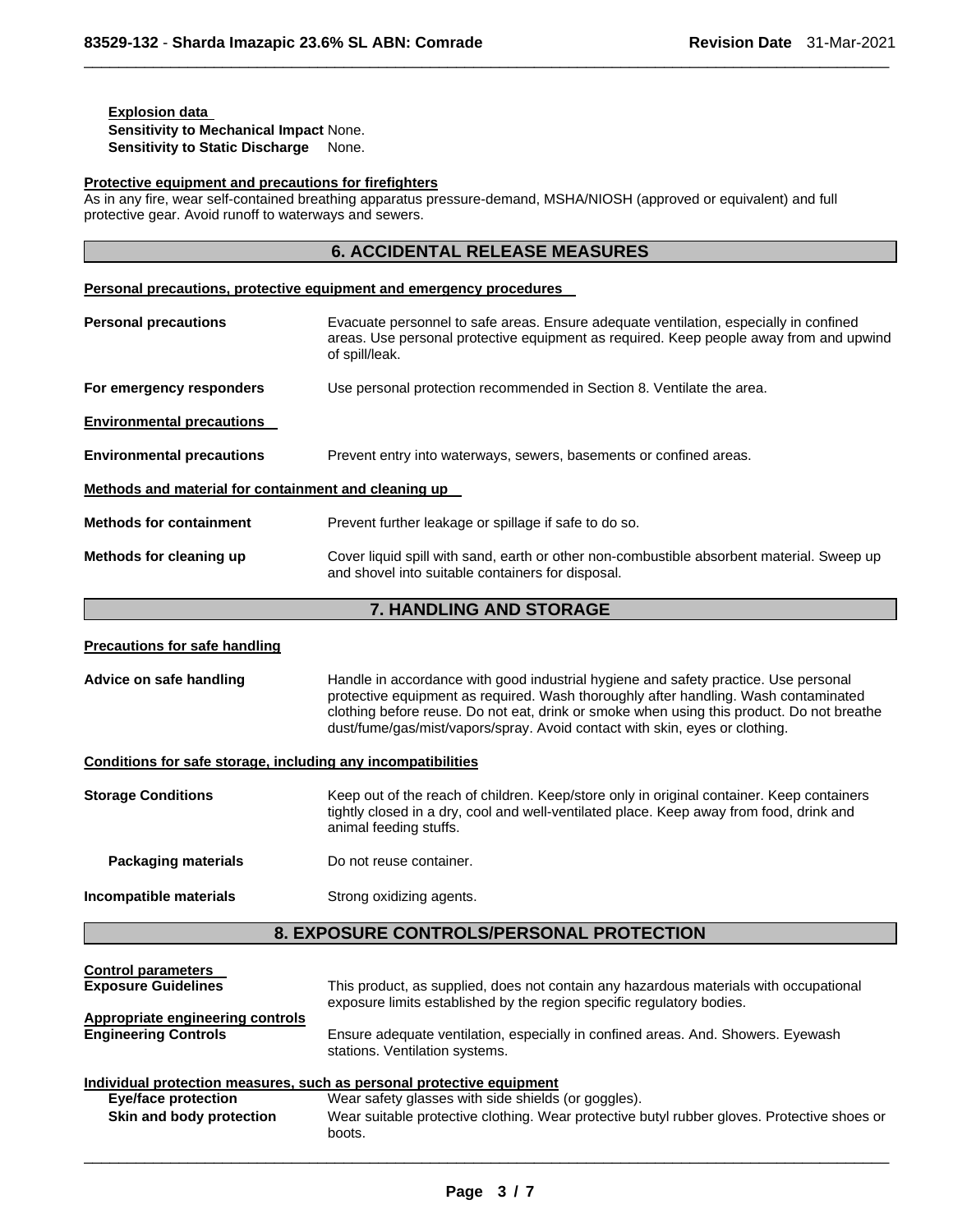# **Explosion data Sensitivity to Mechanical Impact** None. **Sensitivity to Static Discharge** None.

# **Protective equipment and precautions for firefighters**

As in any fire, wear self-contained breathing apparatus pressure-demand, MSHA/NIOSH (approved or equivalent) and full protective gear. Avoid runoff to waterways and sewers.

 $\Box$ 

|                                                              | <b>6. ACCIDENTAL RELEASE MEASURES</b>                                                                                                                                                                                                                                                                                                                  |  |
|--------------------------------------------------------------|--------------------------------------------------------------------------------------------------------------------------------------------------------------------------------------------------------------------------------------------------------------------------------------------------------------------------------------------------------|--|
|                                                              | <b>Personal precautions, protective equipment and emergency procedures</b>                                                                                                                                                                                                                                                                             |  |
| <b>Personal precautions</b>                                  | Evacuate personnel to safe areas. Ensure adequate ventilation, especially in confined<br>areas. Use personal protective equipment as required. Keep people away from and upwind<br>of spill/leak.                                                                                                                                                      |  |
| For emergency responders                                     | Use personal protection recommended in Section 8. Ventilate the area.                                                                                                                                                                                                                                                                                  |  |
| <b>Environmental precautions</b>                             |                                                                                                                                                                                                                                                                                                                                                        |  |
| <b>Environmental precautions</b>                             | Prevent entry into waterways, sewers, basements or confined areas.                                                                                                                                                                                                                                                                                     |  |
| Methods and material for containment and cleaning up         |                                                                                                                                                                                                                                                                                                                                                        |  |
| <b>Methods for containment</b>                               | Prevent further leakage or spillage if safe to do so.                                                                                                                                                                                                                                                                                                  |  |
| Methods for cleaning up                                      | Cover liquid spill with sand, earth or other non-combustible absorbent material. Sweep up<br>and shovel into suitable containers for disposal.                                                                                                                                                                                                         |  |
|                                                              | 7. HANDLING AND STORAGE                                                                                                                                                                                                                                                                                                                                |  |
| <b>Precautions for safe handling</b>                         |                                                                                                                                                                                                                                                                                                                                                        |  |
| Advice on safe handling                                      | Handle in accordance with good industrial hygiene and safety practice. Use personal<br>protective equipment as required. Wash thoroughly after handling. Wash contaminated<br>clothing before reuse. Do not eat, drink or smoke when using this product. Do not breathe<br>dust/fume/gas/mist/vapors/spray. Avoid contact with skin, eyes or clothing. |  |
| Conditions for safe storage, including any incompatibilities |                                                                                                                                                                                                                                                                                                                                                        |  |

| <b>Storage Conditions</b>  | Keep out of the reach of children. Keep/store only in original container. Keep containers<br>tightly closed in a dry, cool and well-ventilated place. Keep away from food, drink and<br>animal feeding stuffs. |
|----------------------------|----------------------------------------------------------------------------------------------------------------------------------------------------------------------------------------------------------------|
| <b>Packaging materials</b> | Do not reuse container.                                                                                                                                                                                        |
| Incompatible materials     | Strong oxidizing agents.                                                                                                                                                                                       |

# **8. EXPOSURE CONTROLS/PERSONAL PROTECTION**

| <b>Control parameters</b><br><b>Exposure Guidelines</b> | This product, as supplied, does not contain any hazardous materials with occupational<br>exposure limits established by the region specific regulatory bodies. |
|---------------------------------------------------------|----------------------------------------------------------------------------------------------------------------------------------------------------------------|
| Appropriate engineering controls                        |                                                                                                                                                                |
| <b>Engineering Controls</b>                             | Ensure adequate ventilation, especially in confined areas. And. Showers. Eyewash<br>stations. Ventilation systems.                                             |
|                                                         | Individual protection measures, such as personal protective equipment                                                                                          |
| Eye/face protection                                     | Wear safety glasses with side shields (or goggles).                                                                                                            |
| Skin and body protection                                | Wear suitable protective clothing. Wear protective butyl rubber gloves. Protective shoes or<br>boots.                                                          |
|                                                         |                                                                                                                                                                |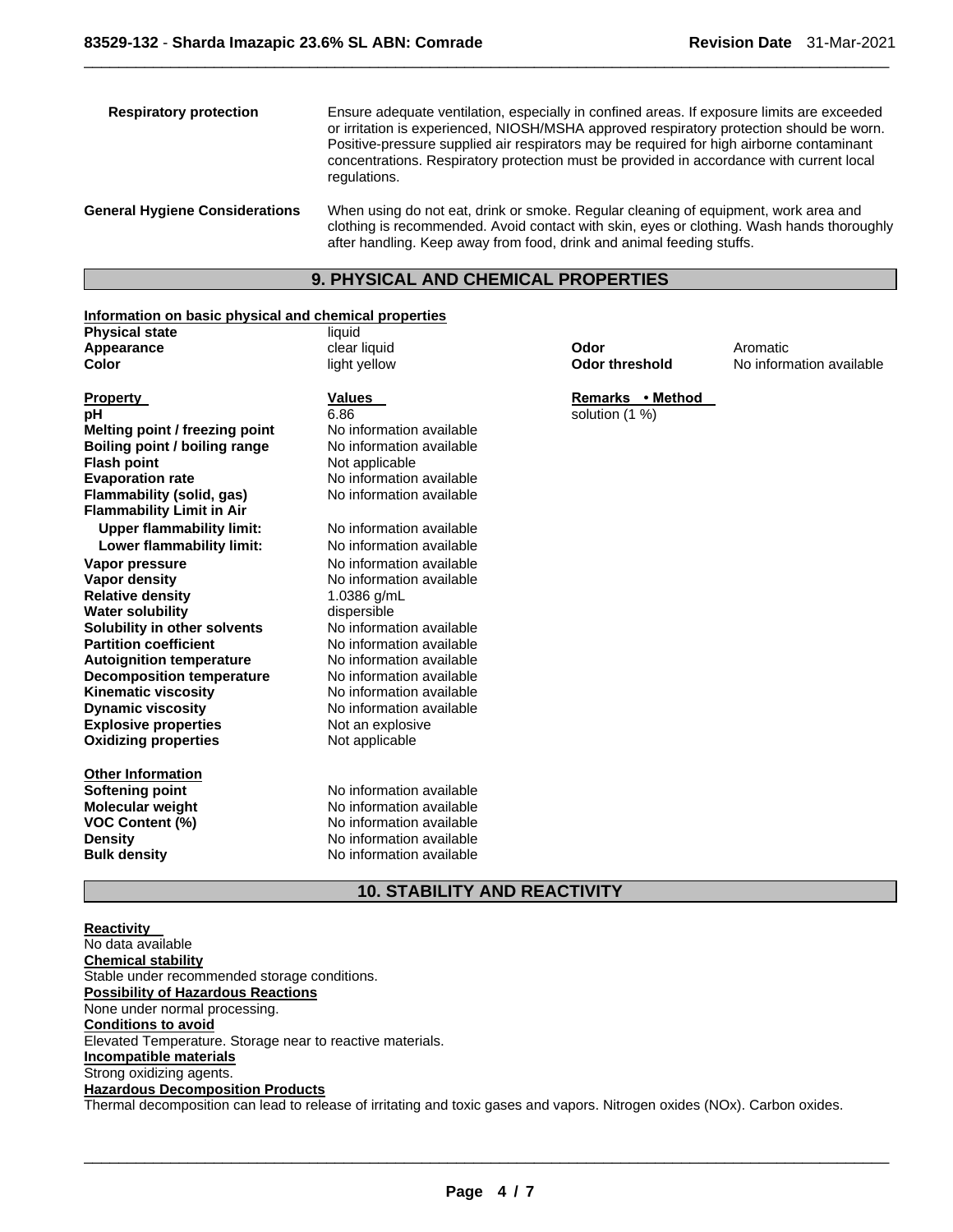| <b>Respiratory protection</b>         | Ensure adequate ventilation, especially in confined areas. If exposure limits are exceeded<br>or irritation is experienced, NIOSH/MSHA approved respiratory protection should be worn.<br>Positive-pressure supplied air respirators may be required for high airborne contaminant<br>concentrations. Respiratory protection must be provided in accordance with current local<br>regulations. |
|---------------------------------------|------------------------------------------------------------------------------------------------------------------------------------------------------------------------------------------------------------------------------------------------------------------------------------------------------------------------------------------------------------------------------------------------|
| <b>General Hygiene Considerations</b> | When using do not eat, drink or smoke. Regular cleaning of equipment, work area and<br>clothing is recommended. Avoid contact with skin, eyes or clothing. Wash hands thoroughly<br>after handling. Keep away from food, drink and animal feeding stuffs.                                                                                                                                      |

 $\Box$ 

# **9. PHYSICAL AND CHEMICAL PROPERTIES**

# **Information on basic physical and chemical properties**

| <b>Physical state</b>            | liquid                   |                       |                          |
|----------------------------------|--------------------------|-----------------------|--------------------------|
| Appearance                       | clear liquid             | Odor                  | Aromatic                 |
| Color                            | light yellow             | <b>Odor threshold</b> | No information available |
|                                  |                          |                       |                          |
| <b>Property</b>                  | <b>Values</b>            | Remarks • Method      |                          |
| рH                               | 6.86                     | solution (1 %)        |                          |
| Melting point / freezing point   | No information available |                       |                          |
| Boiling point / boiling range    | No information available |                       |                          |
| <b>Flash point</b>               | Not applicable           |                       |                          |
| <b>Evaporation rate</b>          | No information available |                       |                          |
| Flammability (solid, gas)        | No information available |                       |                          |
| <b>Flammability Limit in Air</b> |                          |                       |                          |
| <b>Upper flammability limit:</b> | No information available |                       |                          |
| Lower flammability limit:        | No information available |                       |                          |
| Vapor pressure                   | No information available |                       |                          |
| Vapor density                    | No information available |                       |                          |
| <b>Relative density</b>          | 1.0386 g/mL              |                       |                          |
| <b>Water solubility</b>          | dispersible              |                       |                          |
| Solubility in other solvents     | No information available |                       |                          |
| <b>Partition coefficient</b>     | No information available |                       |                          |
| <b>Autoignition temperature</b>  | No information available |                       |                          |
| <b>Decomposition temperature</b> | No information available |                       |                          |
| <b>Kinematic viscosity</b>       | No information available |                       |                          |
| <b>Dynamic viscosity</b>         | No information available |                       |                          |
| <b>Explosive properties</b>      | Not an explosive         |                       |                          |
| <b>Oxidizing properties</b>      | Not applicable           |                       |                          |
|                                  |                          |                       |                          |
| <b>Other Information</b>         |                          |                       |                          |
| <b>Softening point</b>           | No information available |                       |                          |
| <b>Molecular weight</b>          | No information available |                       |                          |
| <b>VOC Content (%)</b>           | No information available |                       |                          |
| <b>Density</b>                   | No information available |                       |                          |
| <b>Bulk density</b>              | No information available |                       |                          |
|                                  |                          |                       |                          |

# **10. STABILITY AND REACTIVITY**

**Reactivity**  No data available **Chemical stability** Stable under recommended storage conditions. **Possibility of Hazardous Reactions** None under normal processing. **Conditions to avoid** Elevated Temperature. Storage near to reactive materials. **Incompatible materials** Strong oxidizing agents. **Hazardous Decomposition Products** Thermal decomposition can lead to release of irritating and toxic gases and vapors. Nitrogen oxides (NOx). Carbon oxides.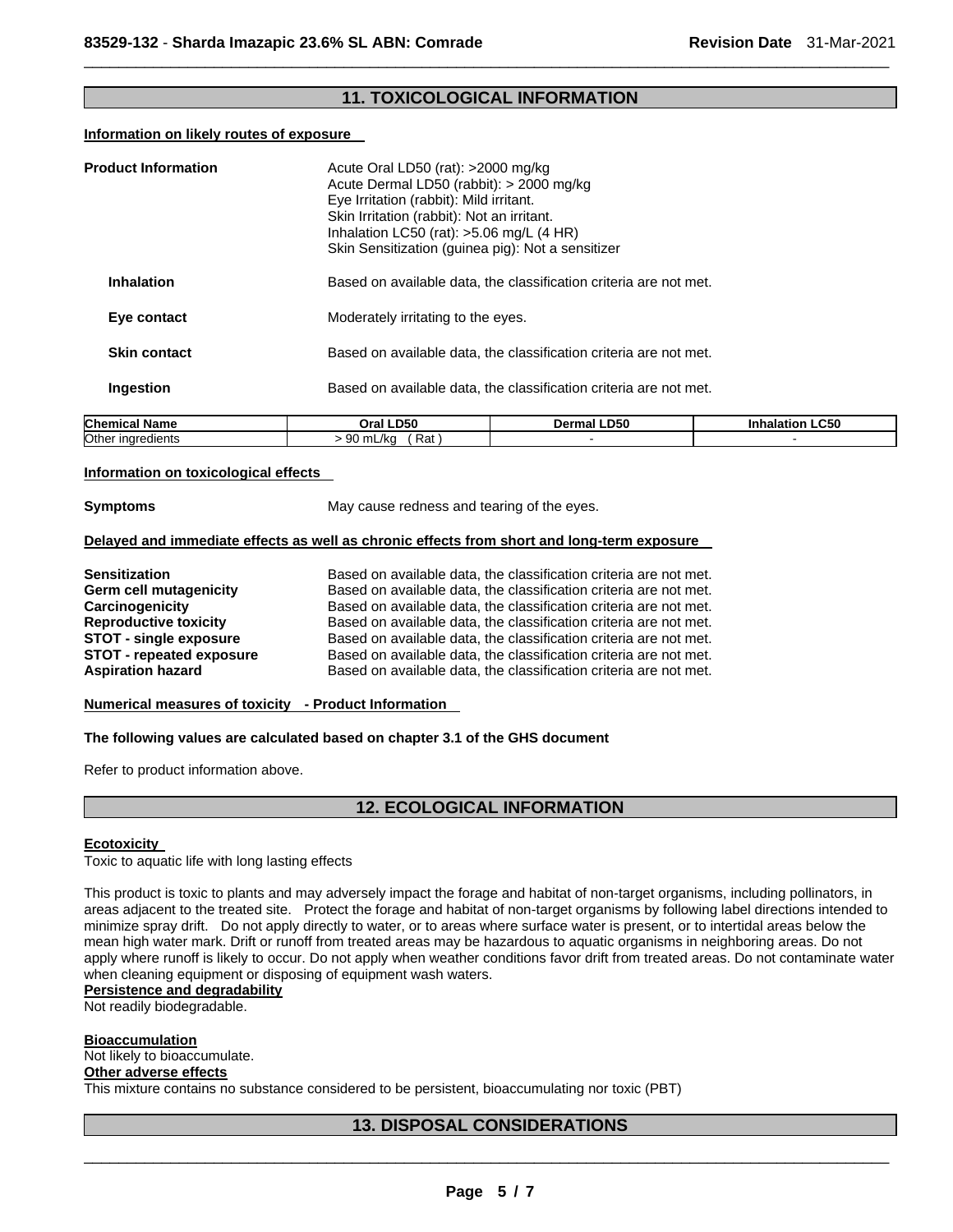# **11. TOXICOLOGICAL INFORMATION**

 $\Box$ 

#### **Information on likely routes of exposure**

| <b>Product Information</b> | Acute Oral LD50 (rat): $>2000$ mg/kg<br>Acute Dermal LD50 (rabbit): > 2000 mg/kg<br>Eye Irritation (rabbit): Mild irritant.<br>Skin Irritation (rabbit): Not an irritant.<br>Inhalation LC50 (rat): $>5.06$ mg/L (4 HR) | Skin Sensitization (guinea pig): Not a sensitizer                 |                |
|----------------------------|-------------------------------------------------------------------------------------------------------------------------------------------------------------------------------------------------------------------------|-------------------------------------------------------------------|----------------|
| <b>Inhalation</b>          |                                                                                                                                                                                                                         | Based on available data, the classification criteria are not met. |                |
| Eye contact                | Moderately irritating to the eyes.                                                                                                                                                                                      |                                                                   |                |
| <b>Skin contact</b>        |                                                                                                                                                                                                                         | Based on available data, the classification criteria are not met. |                |
| Ingestion                  |                                                                                                                                                                                                                         | Based on available data, the classification criteria are not met. |                |
| Ohnesteel Mense            | 0.21100                                                                                                                                                                                                                 | <b>Dennell DEA</b>                                                | しんしょしんじょう しめにめ |

| <b>Chemical Name</b> | <b>LD50</b><br>Oral | Dermal LD50 | <b>.C50</b><br>Inhalatior |
|----------------------|---------------------|-------------|---------------------------|
| Other ingredients    | Rat<br>mL/ka<br>JU. |             |                           |
|                      |                     |             |                           |

#### **Information on toxicological effects**

**Symptoms May cause redness and tearing of the eyes.** 

# **Delayed and immediate effects as well as chronic effects from short and long-term exposure**

| <b>Sensitization</b>            | Based on available data, the classification criteria are not met. |
|---------------------------------|-------------------------------------------------------------------|
| Germ cell mutagenicity          | Based on available data, the classification criteria are not met. |
| Carcinogenicity                 | Based on available data, the classification criteria are not met. |
| <b>Reproductive toxicity</b>    | Based on available data, the classification criteria are not met. |
| <b>STOT - single exposure</b>   | Based on available data, the classification criteria are not met. |
| <b>STOT - repeated exposure</b> | Based on available data, the classification criteria are not met. |
| <b>Aspiration hazard</b>        | Based on available data, the classification criteria are not met. |

# **Numerical measures of toxicity - Product Information**

#### **The following values are calculated based on chapter 3.1 of the GHS document**

Refer to product information above.

# **12. ECOLOGICAL INFORMATION**

## **Ecotoxicity**

Toxic to aquatic life with long lasting effects

This product is toxic to plants and may adversely impact the forage and habitat of non-target organisms, including pollinators, in areas adjacent to the treated site. Protect the forage and habitat of non-target organisms by following label directions intended to minimize spray drift. Do not apply directly to water, or to areas where surface water is present, or to intertidal areas below the mean high water mark. Drift or runoff from treated areas may be hazardous to aquatic organisms in neighboring areas. Do not apply where runoff is likely to occur. Do not apply when weather conditions favor drift from treated areas. Do not contaminate water when cleaning equipment or disposing of equipment wash waters.

# **Persistence and degradability**

Not readily biodegradable.

#### **Bioaccumulation**

Not likely to bioaccumulate.

# **Other adverse effects**

This mixture contains no substance considered to be persistent, bioaccumulating nor toxic (PBT)

# **13. DISPOSAL CONSIDERATIONS**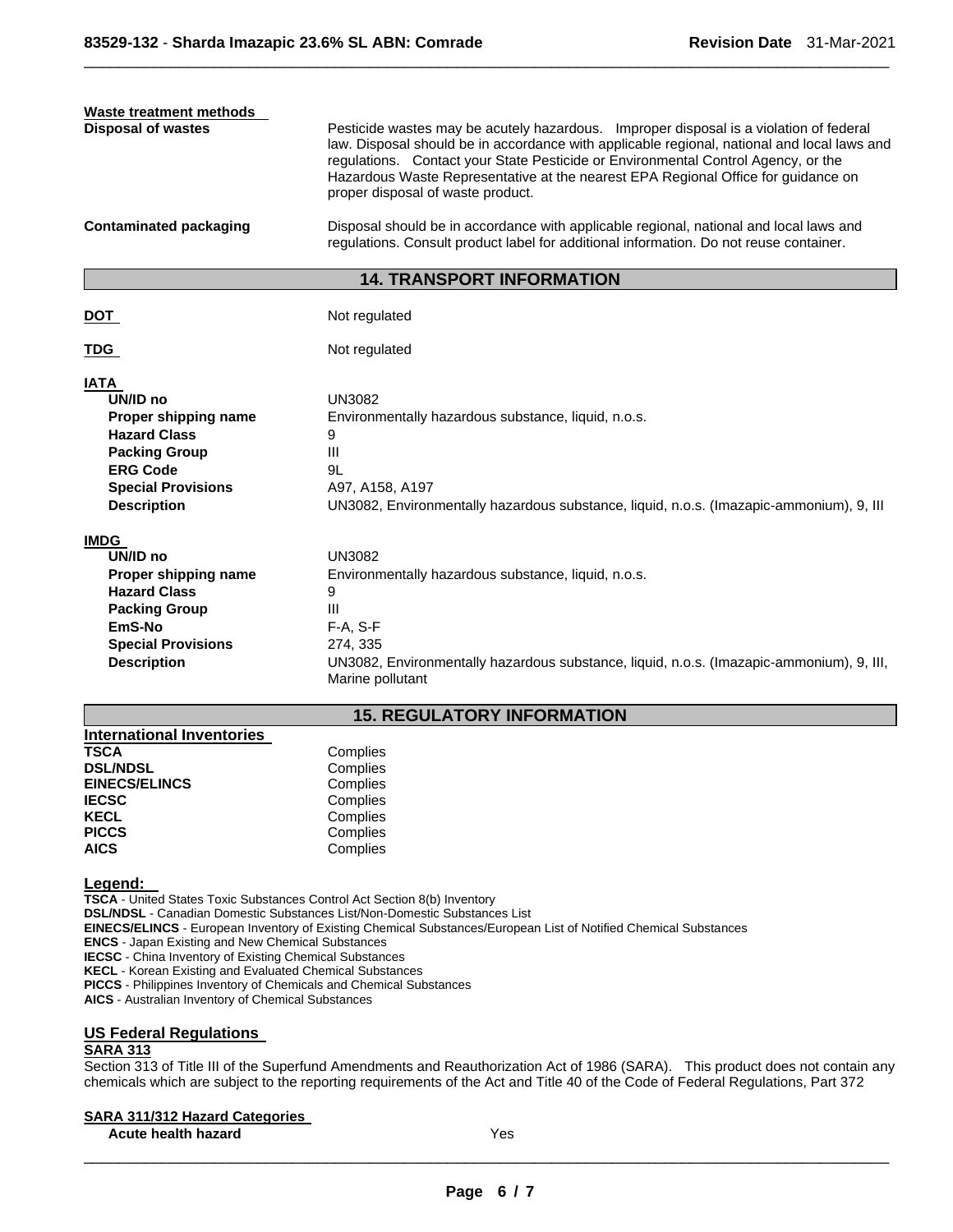| Waste treatment methods<br><b>Disposal of wastes</b><br><b>Contaminated packaging</b>                                                                                | Pesticide wastes may be acutely hazardous. Improper disposal is a violation of federal<br>law. Disposal should be in accordance with applicable regional, national and local laws and<br>regulations. Contact your State Pesticide or Environmental Control Agency, or the<br>Hazardous Waste Representative at the nearest EPA Regional Office for guidance on<br>proper disposal of waste product.<br>Disposal should be in accordance with applicable regional, national and local laws and<br>regulations. Consult product label for additional information. Do not reuse container. |
|----------------------------------------------------------------------------------------------------------------------------------------------------------------------|------------------------------------------------------------------------------------------------------------------------------------------------------------------------------------------------------------------------------------------------------------------------------------------------------------------------------------------------------------------------------------------------------------------------------------------------------------------------------------------------------------------------------------------------------------------------------------------|
|                                                                                                                                                                      | <b>14. TRANSPORT INFORMATION</b>                                                                                                                                                                                                                                                                                                                                                                                                                                                                                                                                                         |
| DOT                                                                                                                                                                  | Not regulated                                                                                                                                                                                                                                                                                                                                                                                                                                                                                                                                                                            |
| TDG                                                                                                                                                                  | Not regulated                                                                                                                                                                                                                                                                                                                                                                                                                                                                                                                                                                            |
| <b>IATA</b><br>UN/ID no<br>Proper shipping name<br><b>Hazard Class</b><br><b>Packing Group</b><br><b>ERG Code</b><br><b>Special Provisions</b><br><b>Description</b> | <b>UN3082</b><br>Environmentally hazardous substance, liquid, n.o.s.<br>9<br>Ш<br>91<br>A97, A158, A197<br>UN3082, Environmentally hazardous substance, liquid, n.o.s. (Imazapic-ammonium), 9, III                                                                                                                                                                                                                                                                                                                                                                                       |
| <b>IMDG</b><br>UN/ID no<br>Proper shipping name<br><b>Hazard Class</b><br><b>Packing Group</b><br>EmS-No<br><b>Special Provisions</b><br><b>Description</b>          | UN3082<br>Environmentally hazardous substance, liquid, n.o.s.<br>9<br>Ш<br>$F-A, S-F$<br>274, 335<br>UN3082, Environmentally hazardous substance, liquid, n.o.s. (Imazapic-ammonium), 9, III,<br>Marine pollutant                                                                                                                                                                                                                                                                                                                                                                        |

 $\Box$ 

# **15. REGULATORY INFORMATION**

| International Inventories        |  |
|----------------------------------|--|
| <b>TSCA</b><br>Complies          |  |
| <b>DSL/NDSL</b><br>Complies      |  |
| <b>EINECS/ELINCS</b><br>Complies |  |
| Complies<br><b>IECSC</b>         |  |
| Complies<br><b>KECL</b>          |  |
| <b>PICCS</b><br>Complies         |  |
| <b>AICS</b><br>Complies          |  |

**Legend:** 

**TSCA** - United States Toxic Substances Control Act Section 8(b) Inventory **DSL/NDSL** - Canadian Domestic Substances List/Non-Domestic Substances List **EINECS/ELINCS** - European Inventory of Existing Chemical Substances/European List of Notified Chemical Substances **ENCS** - Japan Existing and New Chemical Substances **IECSC** - China Inventory of Existing Chemical Substances **KECL** - Korean Existing and Evaluated Chemical Substances **PICCS** - Philippines Inventory of Chemicals and Chemical Substances

**AICS** - Australian Inventory of Chemical Substances

## **US Federal Regulations**

# **SARA 313**

Section 313 of Title III of the Superfund Amendments and Reauthorization Act of 1986 (SARA). This product does not contain any chemicals which are subject to the reporting requirements of the Act and Title 40 of the Code of Federal Regulations, Part 372

#### **SARA 311/312 Hazard Categories**

**Acute health hazard** Yes